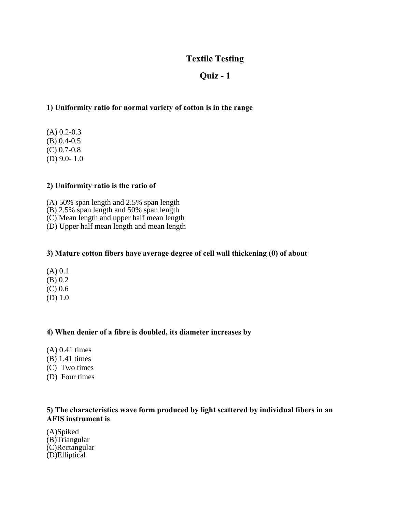# **Textile Testing**

# **Quiz - 1**

## **1) Uniformity ratio for normal variety of cotton is in the range**

(A) 0.2-0.3 (B) 0.4-0.5 (C) 0.7-0.8 (D) 9.0- 1.0

#### **2) Uniformity ratio is the ratio of**

- (A) 50% span length and 2.5% span length
- (B) 2.5% span length and 50% span length
- (C) Mean length and upper half mean length
- (D) Upper half mean length and mean length

#### **3) Mature cotton fibers have average degree of cell wall thickening (θ) of about**

- (A) 0.1
- (B) 0.2
- (C) 0.6
- (D) 1.0

#### **4) When denier of a fibre is doubled, its diameter increases by**

- (A) 0.41 times
- (B) 1.41 times
- (C) Two times
- (D) Four times

## **5) The characteristics wave form produced by light scattered by individual fibers in an AFIS instrument is**

(A)Spiked (B)Triangular (C)Rectangular (D)Elliptical